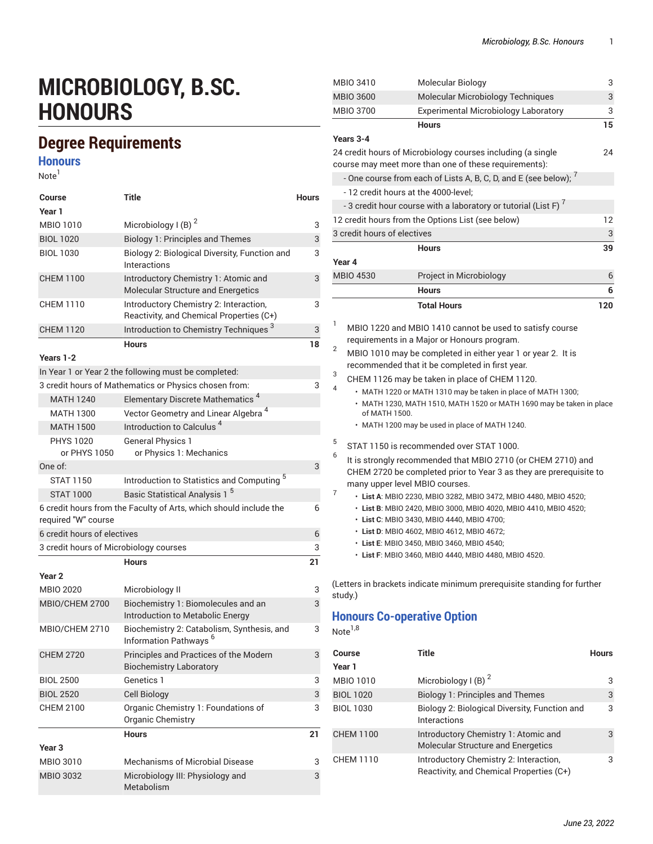## **MICROBIOLOGY, B.SC. HONOURS**

## **Degree Requirements**

**Honours**

Note<sup>1</sup>

| <b>Course</b><br>Year 1                | Title                                                                              | <b>Hours</b> |
|----------------------------------------|------------------------------------------------------------------------------------|--------------|
| <b>MBIO 1010</b>                       | Microbiology I (B) $2$                                                             | 3            |
| <b>BIOL 1020</b>                       | <b>Biology 1: Principles and Themes</b>                                            | 3            |
| <b>BIOL 1030</b>                       | Biology 2: Biological Diversity, Function and<br>Interactions                      | 3            |
| <b>CHEM 1100</b>                       | Introductory Chemistry 1: Atomic and<br>Molecular Structure and Energetics         | 3            |
| <b>CHEM 1110</b>                       | Introductory Chemistry 2: Interaction,<br>Reactivity, and Chemical Properties (C+) | 3            |
| <b>CHEM 1120</b>                       | Introduction to Chemistry Techniques <sup>3</sup>                                  | 3            |
|                                        | <b>Hours</b>                                                                       | 18           |
| Years 1-2                              |                                                                                    |              |
|                                        | In Year 1 or Year 2 the following must be completed:                               |              |
|                                        | 3 credit hours of Mathematics or Physics chosen from:                              | 3            |
| <b>MATH 1240</b>                       | Elementary Discrete Mathematics <sup>4</sup>                                       |              |
| <b>MATH 1300</b>                       | Vector Geometry and Linear Algebra <sup>4</sup>                                    |              |
| <b>MATH 1500</b>                       | Introduction to Calculus <sup>4</sup>                                              |              |
| <b>PHYS 1020</b><br>or PHYS 1050       | <b>General Physics 1</b><br>or Physics 1: Mechanics                                |              |
| One of:                                |                                                                                    | 3            |
| <b>STAT 1150</b>                       | Introduction to Statistics and Computing <sup>5</sup>                              |              |
| <b>STAT 1000</b>                       | Basic Statistical Analysis 1 <sup>5</sup>                                          |              |
| required "W" course                    | 6 credit hours from the Faculty of Arts, which should include the                  | 6            |
| 6 credit hours of electives            |                                                                                    | 6            |
| 3 credit hours of Microbiology courses |                                                                                    | 3            |
|                                        | <b>Hours</b>                                                                       | 21           |
| Year <sub>2</sub>                      |                                                                                    |              |
| <b>MBIO 2020</b>                       | Microbiology II                                                                    | 3            |
| MBIO/CHEM 2700                         | Biochemistry 1: Biomolecules and an<br>Introduction to Metabolic Energy            | 3            |
| MBIO/CHEM 2710                         | Biochemistry 2: Catabolism, Synthesis, and<br>Information Pathways <sup>6</sup>    | 3            |
| <b>CHEM 2720</b>                       | Principles and Practices of the Modern<br><b>Biochemistry Laboratory</b>           | 3            |
| <b>BIOL 2500</b>                       | Genetics 1                                                                         | 3            |
| <b>BIOL 2520</b>                       | <b>Cell Biology</b>                                                                | 3            |
| <b>CHEM 2100</b>                       | Organic Chemistry 1: Foundations of<br>Organic Chemistry                           | 3            |
|                                        | <b>Hours</b>                                                                       | 21           |
| Year <sub>3</sub>                      |                                                                                    |              |
| MBIO 3010                              | Mechanisms of Microbial Disease                                                    | 3            |
| <b>MBIO 3032</b>                       | Microbiology III: Physiology and<br>Metabolism                                     | 3            |

| MBIO 3410                                                                                                                                                                 | Molecular Biology                                                                                                                                                                  | 3   |  |
|---------------------------------------------------------------------------------------------------------------------------------------------------------------------------|------------------------------------------------------------------------------------------------------------------------------------------------------------------------------------|-----|--|
| <b>MBIO 3600</b>                                                                                                                                                          | Molecular Microbiology Techniques                                                                                                                                                  | 3   |  |
| <b>MBIO 3700</b>                                                                                                                                                          | <b>Experimental Microbiology Laboratory</b>                                                                                                                                        | 3   |  |
|                                                                                                                                                                           | <b>Hours</b>                                                                                                                                                                       | 15  |  |
| Years 3-4                                                                                                                                                                 |                                                                                                                                                                                    |     |  |
|                                                                                                                                                                           | 24 credit hours of Microbiology courses including (a single<br>course may meet more than one of these requirements):                                                               | 24  |  |
|                                                                                                                                                                           | - One course from each of Lists A, B, C, D, and E (see below); $^7$                                                                                                                |     |  |
| - 12 credit hours at the 4000-level;                                                                                                                                      |                                                                                                                                                                                    |     |  |
|                                                                                                                                                                           | - 3 credit hour course with a laboratory or tutorial (List F) $^7$                                                                                                                 |     |  |
|                                                                                                                                                                           | 12 credit hours from the Options List (see below)                                                                                                                                  | 12  |  |
| 3 credit hours of electives                                                                                                                                               |                                                                                                                                                                                    | 3   |  |
|                                                                                                                                                                           | <b>Hours</b>                                                                                                                                                                       | 39  |  |
| Year 4                                                                                                                                                                    |                                                                                                                                                                                    |     |  |
| <b>MBIO 4530</b>                                                                                                                                                          | Project in Microbiology                                                                                                                                                            | 6   |  |
|                                                                                                                                                                           | <b>Hours</b>                                                                                                                                                                       | 6   |  |
|                                                                                                                                                                           | <b>Total Hours</b>                                                                                                                                                                 | 120 |  |
|                                                                                                                                                                           |                                                                                                                                                                                    |     |  |
| 1                                                                                                                                                                         | MBIO 1220 and MBIO 1410 cannot be used to satisfy course<br>requirements in a Major or Honours program.                                                                            |     |  |
| 2                                                                                                                                                                         | MBIO 1010 may be completed in either year 1 or year 2. It is<br>recommended that it be completed in first year.                                                                    |     |  |
| 3                                                                                                                                                                         | CHEM 1126 may be taken in place of CHEM 1120.                                                                                                                                      |     |  |
| 4<br>of MATH 1500.                                                                                                                                                        | • MATH 1220 or MATH 1310 may be taken in place of MATH 1300;<br>• MATH 1230, MATH 1510, MATH 1520 or MATH 1690 may be taken in place                                               |     |  |
|                                                                                                                                                                           | • MATH 1200 may be used in place of MATH 1240.                                                                                                                                     |     |  |
| 5                                                                                                                                                                         | STAT 1150 is recommended over STAT 1000.                                                                                                                                           |     |  |
| 6<br>It is strongly recommended that MBIO 2710 (or CHEM 2710) and<br>CHEM 2720 be completed prior to Year 3 as they are prerequisite to<br>many upper level MBIO courses. |                                                                                                                                                                                    |     |  |
| 7                                                                                                                                                                         | · List A: MBIO 2230, MBIO 3282, MBIO 3472, MBIO 4480, MBIO 4520;<br>· List B: MBIO 2420, MBIO 3000, MBIO 4020, MBIO 4410, MBIO 4520;<br>· List C: MBIO 3430, MBIO 4440, MBIO 4700; |     |  |
|                                                                                                                                                                           | · List D: MBIO 4602, MBIO 4612, MBIO 4672;<br>· List E: MBIO 3450, MBIO 3460, MBIO 4540;                                                                                           |     |  |
|                                                                                                                                                                           | · List F: MBIO 3460, MBIO 4440, MBIO 4480, MBIO 4520.                                                                                                                              |     |  |
| study.)                                                                                                                                                                   | (Letters in brackets indicate minimum prerequisite standing for further                                                                                                            |     |  |
| <b>Honours Co-operative Option</b>                                                                                                                                        |                                                                                                                                                                                    |     |  |

Note $^{1,8}$ 

| Course           | Title                                                                              | <b>Hours</b> |
|------------------|------------------------------------------------------------------------------------|--------------|
| Year 1           |                                                                                    |              |
| MBIO 1010        | Microbiology I (B) $2$                                                             | 3            |
| <b>BIOL 1020</b> | <b>Biology 1: Principles and Themes</b>                                            | 3            |
| <b>BIOL 1030</b> | Biology 2: Biological Diversity, Function and<br>Interactions                      | 3            |
| <b>CHEM 1100</b> | Introductory Chemistry 1: Atomic and<br><b>Molecular Structure and Energetics</b>  | 3            |
| <b>CHEM 1110</b> | Introductory Chemistry 2: Interaction,<br>Reactivity, and Chemical Properties (C+) | 3            |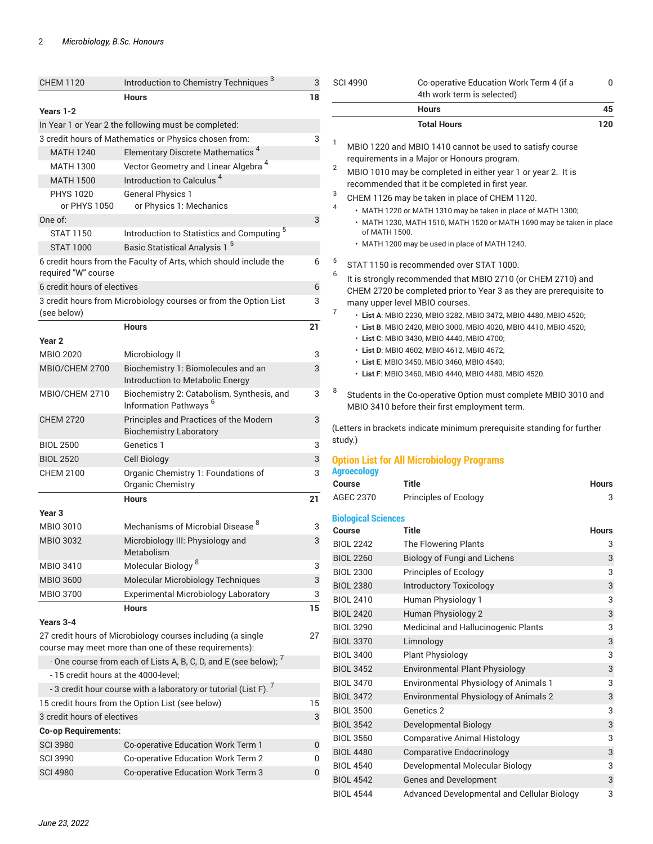| <b>CHEM 1120</b>                                                    | Introduction to Chemistry Techniques <sup>3</sup>                               | 3         | <b>SCI 4990</b>            | Co-operative Education Work Term 4 (if a                                                                         | 0            |
|---------------------------------------------------------------------|---------------------------------------------------------------------------------|-----------|----------------------------|------------------------------------------------------------------------------------------------------------------|--------------|
|                                                                     | <b>Hours</b>                                                                    | 18        |                            | 4th work term is selected)                                                                                       |              |
| Years 1-2                                                           |                                                                                 |           |                            | <b>Hours</b>                                                                                                     | 45           |
|                                                                     | In Year 1 or Year 2 the following must be completed:                            |           |                            | <b>Total Hours</b>                                                                                               | 120          |
|                                                                     | 3 credit hours of Mathematics or Physics chosen from:                           | 3         | $\mathbf{1}$               |                                                                                                                  |              |
| <b>MATH 1240</b>                                                    | Elementary Discrete Mathematics <sup>4</sup>                                    |           |                            | MBIO 1220 and MBIO 1410 cannot be used to satisfy course<br>requirements in a Major or Honours program.          |              |
| <b>MATH 1300</b>                                                    | Vector Geometry and Linear Algebra <sup>4</sup>                                 |           | $\overline{2}$             | MBIO 1010 may be completed in either year 1 or year 2. It is                                                     |              |
| <b>MATH 1500</b>                                                    | Introduction to Calculus <sup>4</sup>                                           |           |                            | recommended that it be completed in first year.                                                                  |              |
| <b>PHYS 1020</b>                                                    | <b>General Physics 1</b>                                                        |           | 3                          | CHEM 1126 may be taken in place of CHEM 1120.                                                                    |              |
| or PHYS 1050                                                        | or Physics 1: Mechanics                                                         |           | 4                          | • MATH 1220 or MATH 1310 may be taken in place of MATH 1300;                                                     |              |
| One of:                                                             |                                                                                 | 3         |                            | • MATH 1230, MATH 1510, MATH 1520 or MATH 1690 may be taken in place                                             |              |
| <b>STAT 1150</b>                                                    | Introduction to Statistics and Computing <sup>5</sup>                           |           | of MATH 1500.              |                                                                                                                  |              |
| <b>STAT 1000</b>                                                    | Basic Statistical Analysis 1 <sup>5</sup>                                       |           |                            | • MATH 1200 may be used in place of MATH 1240.                                                                   |              |
| required "W" course                                                 | 6 credit hours from the Faculty of Arts, which should include the               | 6         | 5<br>6                     | STAT 1150 is recommended over STAT 1000.<br>It is strongly recommended that MBIO 2710 (or CHEM 2710) and         |              |
| 6 credit hours of electives                                         |                                                                                 | 6         |                            | CHEM 2720 be completed prior to Year 3 as they are prerequisite to                                               |              |
| (see below)                                                         | 3 credit hours from Microbiology courses or from the Option List                | 3         | $\overline{7}$             | many upper level MBIO courses.<br>· List A: MBIO 2230, MBIO 3282, MBIO 3472, MBIO 4480, MBIO 4520;               |              |
|                                                                     | <b>Hours</b>                                                                    | 21        |                            | · List B: MBIO 2420, MBIO 3000, MBIO 4020, MBIO 4410, MBIO 4520;                                                 |              |
| Year <sub>2</sub>                                                   |                                                                                 |           |                            | • List C: MBIO 3430, MBIO 4440, MBIO 4700;                                                                       |              |
| <b>MBIO 2020</b>                                                    | Microbiology II                                                                 | 3         |                            | • List D: MBIO 4602, MBIO 4612, MBIO 4672;                                                                       |              |
| MBIO/CHEM 2700                                                      | Biochemistry 1: Biomolecules and an                                             | 3         |                            | · List E: MBIO 3450, MBIO 3460, MBIO 4540;                                                                       |              |
|                                                                     | Introduction to Metabolic Energy                                                |           |                            | · List F: MBIO 3460, MBIO 4440, MBIO 4480, MBIO 4520.                                                            |              |
| MBIO/CHEM 2710                                                      | Biochemistry 2: Catabolism, Synthesis, and<br>Information Pathways <sup>6</sup> | 3         | 8                          | Students in the Co-operative Option must complete MBIO 3010 and<br>MBIO 3410 before their first employment term. |              |
| <b>CHEM 2720</b>                                                    | Principles and Practices of the Modern<br><b>Biochemistry Laboratory</b>        | 3         |                            | (Letters in brackets indicate minimum prerequisite standing for further                                          |              |
| <b>BIOL 2500</b>                                                    | Genetics 1                                                                      | 3         | study.)                    |                                                                                                                  |              |
| <b>BIOL 2520</b>                                                    | Cell Biology                                                                    | 3         |                            | <b>Option List for All Microbiology Programs</b>                                                                 |              |
| <b>CHEM 2100</b>                                                    | Organic Chemistry 1: Foundations of                                             | 3         | <b>Agroecology</b>         |                                                                                                                  |              |
|                                                                     | Organic Chemistry                                                               |           | <b>Course</b>              | <b>Title</b>                                                                                                     | <b>Hours</b> |
|                                                                     | <b>Hours</b>                                                                    | 21        | AGEC 2370                  | <b>Principles of Ecology</b>                                                                                     | 3            |
| Year <sub>3</sub>                                                   |                                                                                 |           | <b>Biological Sciences</b> |                                                                                                                  |              |
| MBIO 3010                                                           | Mechanisms of Microbial Disease <sup>8</sup>                                    | 3         | <b>Course</b>              | Title                                                                                                            | <b>Hours</b> |
| <b>MBIO 3032</b>                                                    | Microbiology III: Physiology and                                                | 3         | <b>BIOL 2242</b>           | The Flowering Plants                                                                                             | 3            |
|                                                                     | Metabolism                                                                      |           | <b>BIOL 2260</b>           | <b>Biology of Fungi and Lichens</b>                                                                              | 3            |
| MBIO 3410                                                           | Molecular Biology <sup>8</sup>                                                  | 3         | <b>BIOL 2300</b>           | Principles of Ecology                                                                                            | 3            |
| <b>MBIO 3600</b>                                                    | Molecular Microbiology Techniques                                               | 3         | <b>BIOL 2380</b>           | <b>Introductory Toxicology</b>                                                                                   | 3            |
| <b>MBIO 3700</b>                                                    | <b>Experimental Microbiology Laboratory</b>                                     | 3         | <b>BIOL 2410</b>           | Human Physiology 1                                                                                               | 3            |
|                                                                     | <b>Hours</b>                                                                    | 15        | <b>BIOL 2420</b>           | Human Physiology 2                                                                                               | 3            |
| Years 3-4                                                           |                                                                                 |           | <b>BIOL 3290</b>           | Medicinal and Hallucinogenic Plants                                                                              | 3            |
|                                                                     | 27 credit hours of Microbiology courses including (a single                     | 27        | <b>BIOL 3370</b>           | Limnology                                                                                                        | 3            |
|                                                                     | course may meet more than one of these requirements):                           |           | <b>BIOL 3400</b>           | <b>Plant Physiology</b>                                                                                          | 3            |
| - One course from each of Lists A, B, C, D, and E (see below); $^7$ |                                                                                 |           | <b>BIOL 3452</b>           | <b>Environmental Plant Physiology</b>                                                                            | 3            |
| - 15 credit hours at the 4000-level;                                |                                                                                 |           | <b>BIOL 3470</b>           | Environmental Physiology of Animals 1                                                                            | 3            |
|                                                                     | - 3 credit hour course with a laboratory or tutorial (List F). <sup>7</sup>     |           | <b>BIOL 3472</b>           | <b>Environmental Physiology of Animals 2</b>                                                                     | 3            |
|                                                                     | 15 credit hours from the Option List (see below)                                | 15        | <b>BIOL 3500</b>           | Genetics 2                                                                                                       | 3            |
| 3 credit hours of electives                                         |                                                                                 | 3         | <b>BIOL 3542</b>           | <b>Developmental Biology</b>                                                                                     | 3            |
| <b>Co-op Requirements:</b>                                          |                                                                                 |           | <b>BIOL 3560</b>           | <b>Comparative Animal Histology</b>                                                                              | 3            |
| <b>SCI 3980</b>                                                     | Co-operative Education Work Term 1                                              | $\pmb{0}$ | <b>BIOL 4480</b>           | <b>Comparative Endocrinology</b>                                                                                 | 3            |
| <b>SCI 3990</b>                                                     | Co-operative Education Work Term 2                                              | 0         | <b>BIOL 4540</b>           | Developmental Molecular Biology                                                                                  | 3            |
| <b>SCI 4980</b>                                                     | Co-operative Education Work Term 3                                              | $\pmb{0}$ | <b>BIOL 4542</b>           | Genes and Development                                                                                            | 3            |
|                                                                     |                                                                                 |           | <b>BIOL 4544</b>           | Advanced Developmental and Cellular Biology                                                                      | 3            |